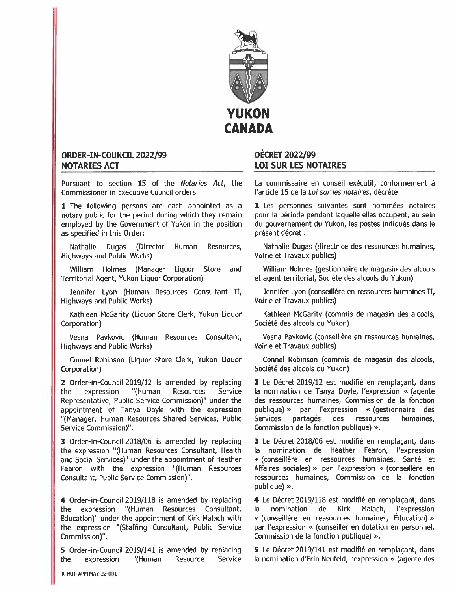

## ORDER-IN-COUNCIL 2022/99 NOTARIES ACT

Pursuant to section 15 of the *Notaries Act*, the Commissioner in Executive Council orders

1 The following persons are each appointed as a notary public for the period during which they remain employed by the Government of Yukon in the position as specified in this Order:

Nathalie Dugas (Director Human Resources, Highways and Public Works)

William Holmes (Manager Liquor Store and Territorial Agent, Yukon Liquor Corporation)

Jennifer Lyon (Human Resources Consultant U, Highways and Public Works)

Kathleen McGarity (Liquor Store Clerk, Yukon Liquor Corporation)

Vesna Pavkovic (Human Resources Consultant, Highways and Public Works)

Connel Robinson (Liquor Store Clerk, Yukon Liquor Corporation)

2 Order-in-Council 2019/12 is amended by replacing the expression '(Human Resources Service Representative, Public Service Commission)" under the appointment of Tanya Doyle with the expression "(Manager, Human Resources Shared Services, Public Service Commission)".

3 Order-in-Council 2018/06 is amended by replacing the expression "(Human Resources Consultant, Health and Social Services)" under the appointment of Heather Fearon with the expression "(Human Resources Consultant, Public Service Commission)".

<sup>4</sup> Order-in-Council 2019/118 is amended by replacing the expression "(Human Resources Consultant, Education)" under the appointment of Kirk Malach with the expression "(Staffing Consultant, Public Service Commission)"

<sup>5</sup> Order-in-Council 2019/141 is amended by replacing the expression "(Human Resource Service

## DECRET 2022/99 LOI SUR LES NOTAIRES

La commissaire en conseil exécutif, conformément à l'article 15 de la Loi sur les notaires, décrète :

1 Les personnes suivantes sont nommées notaires pour Ia période pendant laquelle elles occupent, au sein du gouvernemen<sup>t</sup> du Yukon, les postes indiqués dans Ie présent décret :

Nathalie Dugas (directrice des ressources humaines, Voirie et Travaux publics)

William Holmes (gestionnaire de magasin des alcools et agen<sup>t</sup> territorial, Société des alcools du Yukon)

Jennifer Lyon (conseillêre en ressources humaines II, Voirie et Travaux publics)

Kathleen McGarity (commis de magasin des alcools, Société des alcools du Yukon)

Vesna Pavkovic (conseillére en ressources humaines, Voirie et Travaux publics)

Connel Robinson (commis de magasin des alcools, Société des alcools du Yukon)

2 Le Décret 2019/12 est modifié en remplaçant, dans Ia nomination de Tanya Doyle, l'expression << (agente des ressources humaines, Commission de la fonction publique) '> par l'expression << (gestionnaire des Services partagés des ressources humaines, Commission de la fonction publique) ».

3 Le Décret 2018/06 est modifie en remplaçant, dans la nomination de Heather Fearon, l'expression « (conseillère en ressources humaines, Santé et Affaires sociales) » par l'expression « (conseillère en ressources humaines, Commission de Ia fonction publique)  $\gg$ .

4 Le Décret 2019/118 est modifié en remplaçant, dans Ia nomination de Kirk Malach, l'expression (conseillére en ressources humaines, Education) par l'expression « (conseiller en dotation en personnel, Commission de la fonction publique) ».

<sup>5</sup> Le Décret 2019/141 est modifié en remplacant, dans Ia nomination d'Erin Neufeld, l'expression << (agente des